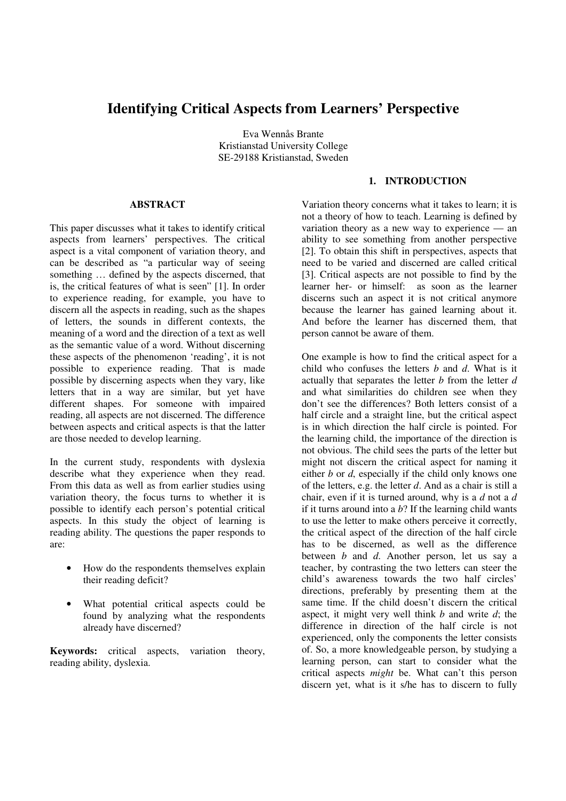# **Identifying Critical Aspects from Learners' Perspective**

Eva Wennås Brante Kristianstad University College SE-29188 Kristianstad, Sweden

#### **ABSTRACT**

This paper discusses what it takes to identify critical aspects from learners' perspectives. The critical aspect is a vital component of variation theory, and can be described as "a particular way of seeing something … defined by the aspects discerned, that is, the critical features of what is seen" [1]. In order to experience reading, for example, you have to discern all the aspects in reading, such as the shapes of letters, the sounds in different contexts, the meaning of a word and the direction of a text as well as the semantic value of a word. Without discerning these aspects of the phenomenon 'reading', it is not possible to experience reading. That is made possible by discerning aspects when they vary, like letters that in a way are similar, but yet have different shapes. For someone with impaired reading, all aspects are not discerned. The difference between aspects and critical aspects is that the latter are those needed to develop learning.

In the current study, respondents with dyslexia describe what they experience when they read. From this data as well as from earlier studies using variation theory, the focus turns to whether it is possible to identify each person's potential critical aspects. In this study the object of learning is reading ability. The questions the paper responds to are:

- How do the respondents themselves explain their reading deficit?
- What potential critical aspects could be found by analyzing what the respondents already have discerned?

**Keywords:** critical aspects, variation theory, reading ability, dyslexia.

# **1. INTRODUCTION**

Variation theory concerns what it takes to learn; it is not a theory of how to teach. Learning is defined by variation theory as a new way to experience — an ability to see something from another perspective [2]. To obtain this shift in perspectives, aspects that need to be varied and discerned are called critical [3]. Critical aspects are not possible to find by the learner her- or himself: as soon as the learner discerns such an aspect it is not critical anymore because the learner has gained learning about it. And before the learner has discerned them, that person cannot be aware of them.

One example is how to find the critical aspect for a child who confuses the letters *b* and *d*. What is it actually that separates the letter *b* from the letter *d* and what similarities do children see when they don't see the differences? Both letters consist of a half circle and a straight line, but the critical aspect is in which direction the half circle is pointed. For the learning child, the importance of the direction is not obvious. The child sees the parts of the letter but might not discern the critical aspect for naming it either *b* or *d*, especially if the child only knows one of the letters, e.g. the letter *d*. And as a chair is still a chair, even if it is turned around, why is a *d* not a *d* if it turns around into a *b*? If the learning child wants to use the letter to make others perceive it correctly, the critical aspect of the direction of the half circle has to be discerned, as well as the difference between *b* and *d*. Another person, let us say a teacher, by contrasting the two letters can steer the child's awareness towards the two half circles' directions, preferably by presenting them at the same time. If the child doesn't discern the critical aspect, it might very well think *b* and write *d*; the difference in direction of the half circle is not experienced, only the components the letter consists of. So, a more knowledgeable person, by studying a learning person, can start to consider what the critical aspects *might* be. What can't this person discern yet, what is it s/he has to discern to fully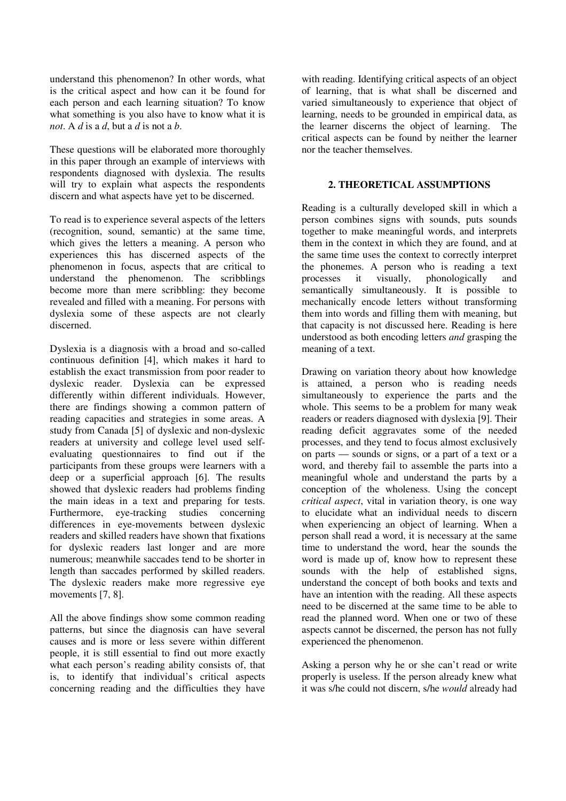understand this phenomenon? In other words, what is the critical aspect and how can it be found for each person and each learning situation? To know what something is you also have to know what it is *not*. A *d* is a *d*, but a *d* is not a *b*.

These questions will be elaborated more thoroughly in this paper through an example of interviews with respondents diagnosed with dyslexia. The results will try to explain what aspects the respondents discern and what aspects have yet to be discerned.

To read is to experience several aspects of the letters (recognition, sound, semantic) at the same time, which gives the letters a meaning. A person who experiences this has discerned aspects of the phenomenon in focus, aspects that are critical to understand the phenomenon. The scribblings become more than mere scribbling: they become revealed and filled with a meaning. For persons with dyslexia some of these aspects are not clearly discerned.

Dyslexia is a diagnosis with a broad and so-called continuous definition [4], which makes it hard to establish the exact transmission from poor reader to dyslexic reader. Dyslexia can be expressed differently within different individuals. However, there are findings showing a common pattern of reading capacities and strategies in some areas. A study from Canada [5] of dyslexic and non-dyslexic readers at university and college level used selfevaluating questionnaires to find out if the participants from these groups were learners with a deep or a superficial approach [6]. The results showed that dyslexic readers had problems finding the main ideas in a text and preparing for tests. Furthermore, eye-tracking studies concerning differences in eye-movements between dyslexic readers and skilled readers have shown that fixations for dyslexic readers last longer and are more numerous; meanwhile saccades tend to be shorter in length than saccades performed by skilled readers. The dyslexic readers make more regressive eye movements [7, 8].

All the above findings show some common reading patterns, but since the diagnosis can have several causes and is more or less severe within different people, it is still essential to find out more exactly what each person's reading ability consists of, that is, to identify that individual's critical aspects concerning reading and the difficulties they have with reading. Identifying critical aspects of an object of learning, that is what shall be discerned and varied simultaneously to experience that object of learning, needs to be grounded in empirical data, as the learner discerns the object of learning. The critical aspects can be found by neither the learner nor the teacher themselves.

#### **2. THEORETICAL ASSUMPTIONS**

Reading is a culturally developed skill in which a person combines signs with sounds, puts sounds together to make meaningful words, and interprets them in the context in which they are found, and at the same time uses the context to correctly interpret the phonemes. A person who is reading a text processes it visually, phonologically and semantically simultaneously. It is possible to mechanically encode letters without transforming them into words and filling them with meaning, but that capacity is not discussed here. Reading is here understood as both encoding letters *and* grasping the meaning of a text.

Drawing on variation theory about how knowledge is attained, a person who is reading needs simultaneously to experience the parts and the whole. This seems to be a problem for many weak readers or readers diagnosed with dyslexia [9]. Their reading deficit aggravates some of the needed processes, and they tend to focus almost exclusively on parts — sounds or signs, or a part of a text or a word, and thereby fail to assemble the parts into a meaningful whole and understand the parts by a conception of the wholeness. Using the concept *critical aspect*, vital in variation theory, is one way to elucidate what an individual needs to discern when experiencing an object of learning. When a person shall read a word, it is necessary at the same time to understand the word, hear the sounds the word is made up of, know how to represent these sounds with the help of established signs, understand the concept of both books and texts and have an intention with the reading. All these aspects need to be discerned at the same time to be able to read the planned word. When one or two of these aspects cannot be discerned, the person has not fully experienced the phenomenon.

Asking a person why he or she can't read or write properly is useless. If the person already knew what it was s/he could not discern, s/he *would* already had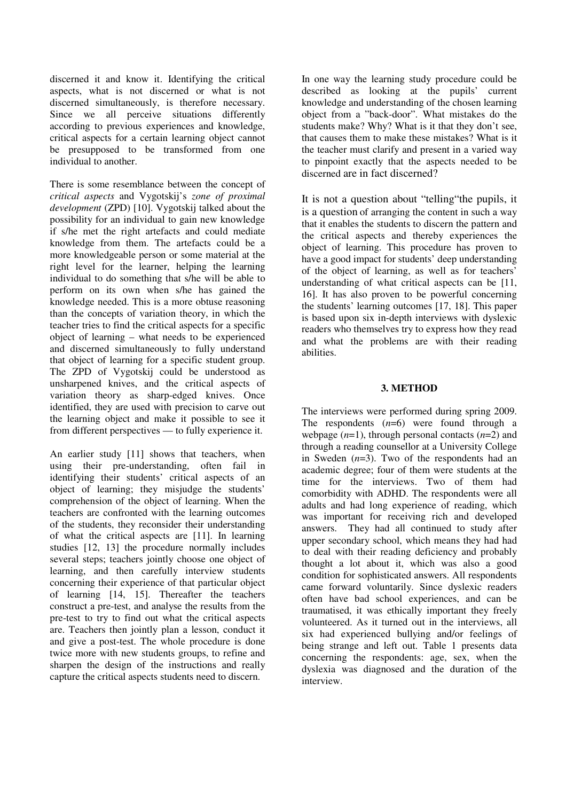discerned it and know it. Identifying the critical aspects, what is not discerned or what is not discerned simultaneously, is therefore necessary. Since we all perceive situations differently according to previous experiences and knowledge, critical aspects for a certain learning object cannot be presupposed to be transformed from one individual to another.

There is some resemblance between the concept of *critical aspects* and Vygotskij's *zone of proximal development* (ZPD) [10]. Vygotskij talked about the possibility for an individual to gain new knowledge if s/he met the right artefacts and could mediate knowledge from them. The artefacts could be a more knowledgeable person or some material at the right level for the learner, helping the learning individual to do something that s/he will be able to perform on its own when s/he has gained the knowledge needed. This is a more obtuse reasoning than the concepts of variation theory, in which the teacher tries to find the critical aspects for a specific object of learning – what needs to be experienced and discerned simultaneously to fully understand that object of learning for a specific student group. The ZPD of Vygotskij could be understood as unsharpened knives, and the critical aspects of variation theory as sharp-edged knives. Once identified, they are used with precision to carve out the learning object and make it possible to see it from different perspectives — to fully experience it.

An earlier study [11] shows that teachers, when using their pre-understanding, often fail in identifying their students' critical aspects of an object of learning; they misjudge the students' comprehension of the object of learning. When the teachers are confronted with the learning outcomes of the students, they reconsider their understanding of what the critical aspects are [11]. In learning studies [12, 13] the procedure normally includes several steps; teachers jointly choose one object of learning, and then carefully interview students concerning their experience of that particular object of learning [14, 15]. Thereafter the teachers construct a pre-test, and analyse the results from the pre-test to try to find out what the critical aspects are. Teachers then jointly plan a lesson, conduct it and give a post-test. The whole procedure is done twice more with new students groups, to refine and sharpen the design of the instructions and really capture the critical aspects students need to discern.

In one way the learning study procedure could be described as looking at the pupils' current knowledge and understanding of the chosen learning object from a "back-door". What mistakes do the students make? Why? What is it that they don't see, that causes them to make these mistakes? What is it the teacher must clarify and present in a varied way to pinpoint exactly that the aspects needed to be discerned are in fact discerned?

It is not a question about "telling"the pupils, it is a question of arranging the content in such a way that it enables the students to discern the pattern and the critical aspects and thereby experiences the object of learning. This procedure has proven to have a good impact for students' deep understanding of the object of learning, as well as for teachers' understanding of what critical aspects can be [11, 16]. It has also proven to be powerful concerning the students' learning outcomes [17, 18]. This paper is based upon six in-depth interviews with dyslexic readers who themselves try to express how they read and what the problems are with their reading abilities.

#### **3. METHOD**

The interviews were performed during spring 2009. The respondents (*n*=6) were found through a webpage  $(n=1)$ , through personal contacts  $(n=2)$  and through a reading counsellor at a University College in Sweden (*n*=3). Two of the respondents had an academic degree; four of them were students at the time for the interviews. Two of them had comorbidity with ADHD. The respondents were all adults and had long experience of reading, which was important for receiving rich and developed answers. They had all continued to study after upper secondary school, which means they had had to deal with their reading deficiency and probably thought a lot about it, which was also a good condition for sophisticated answers. All respondents came forward voluntarily. Since dyslexic readers often have bad school experiences, and can be traumatised, it was ethically important they freely volunteered. As it turned out in the interviews, all six had experienced bullying and/or feelings of being strange and left out. Table 1 presents data concerning the respondents: age, sex, when the dyslexia was diagnosed and the duration of the interview.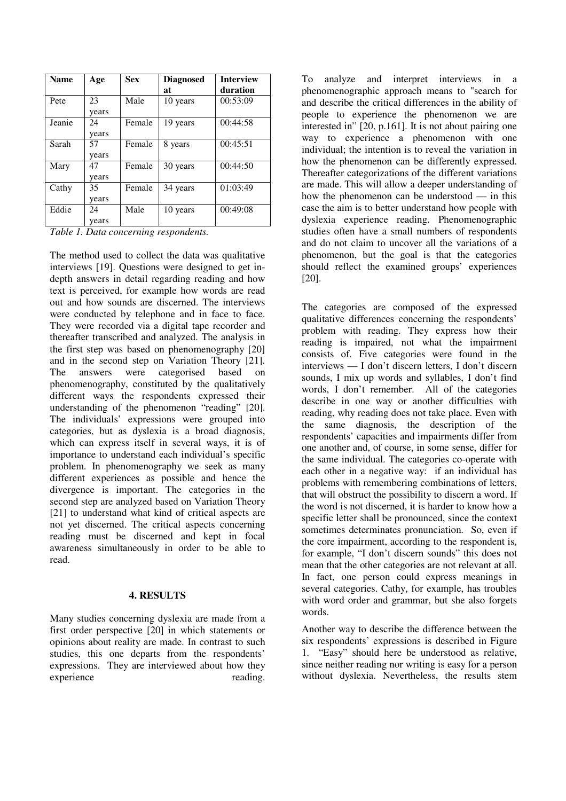| <b>Name</b> | Age   | <b>Sex</b> | <b>Diagnosed</b> | <b>Interview</b> |
|-------------|-------|------------|------------------|------------------|
|             |       |            | at               | duration         |
| Pete        | 23    | Male       | 10 years         | 00:53:09         |
|             | years |            |                  |                  |
| Jeanie      | 24    | Female     | 19 years         | 00:44:58         |
|             | years |            |                  |                  |
| Sarah       | 57    | Female     | 8 years          | 00:45:51         |
|             | years |            |                  |                  |
| Mary        | 47    | Female     | 30 years         | 00:44:50         |
|             | years |            |                  |                  |
| Cathy       | 35    | Female     | 34 years         | 01:03:49         |
|             | years |            |                  |                  |
| Eddie       | 24    | Male       | 10 years         | 00:49:08         |
|             | vears |            |                  |                  |

*Table 1. Data concerning respondents.* 

The method used to collect the data was qualitative interviews [19]. Questions were designed to get indepth answers in detail regarding reading and how text is perceived, for example how words are read out and how sounds are discerned. The interviews were conducted by telephone and in face to face. They were recorded via a digital tape recorder and thereafter transcribed and analyzed. The analysis in the first step was based on phenomenography [20] and in the second step on Variation Theory [21]. The answers were categorised based on phenomenography, constituted by the qualitatively different ways the respondents expressed their understanding of the phenomenon "reading" [20]. The individuals' expressions were grouped into categories, but as dyslexia is a broad diagnosis, which can express itself in several ways, it is of importance to understand each individual's specific problem. In phenomenography we seek as many different experiences as possible and hence the divergence is important. The categories in the second step are analyzed based on Variation Theory [21] to understand what kind of critical aspects are not yet discerned. The critical aspects concerning reading must be discerned and kept in focal awareness simultaneously in order to be able to read.

#### **4. RESULTS**

Many studies concerning dyslexia are made from a first order perspective [20] in which statements or opinions about reality are made. In contrast to such studies, this one departs from the respondents' expressions. They are interviewed about how they experience reading.

To analyze and interpret interviews in a phenomenographic approach means to "search for and describe the critical differences in the ability of people to experience the phenomenon we are interested in" [20, p.161]. It is not about pairing one way to experience a phenomenon with one individual; the intention is to reveal the variation in how the phenomenon can be differently expressed. Thereafter categorizations of the different variations are made. This will allow a deeper understanding of how the phenomenon can be understood — in this case the aim is to better understand how people with dyslexia experience reading. Phenomenographic studies often have a small numbers of respondents and do not claim to uncover all the variations of a phenomenon, but the goal is that the categories should reflect the examined groups' experiences [20].

The categories are composed of the expressed qualitative differences concerning the respondents' problem with reading. They express how their reading is impaired, not what the impairment consists of. Five categories were found in the interviews — I don't discern letters, I don't discern sounds, I mix up words and syllables, I don't find words, I don't remember. All of the categories describe in one way or another difficulties with reading, why reading does not take place. Even with the same diagnosis, the description of the respondents' capacities and impairments differ from one another and, of course, in some sense, differ for the same individual. The categories co-operate with each other in a negative way: if an individual has problems with remembering combinations of letters, that will obstruct the possibility to discern a word. If the word is not discerned, it is harder to know how a specific letter shall be pronounced, since the context sometimes determinates pronunciation. So, even if the core impairment, according to the respondent is, for example, "I don't discern sounds" this does not mean that the other categories are not relevant at all. In fact, one person could express meanings in several categories. Cathy, for example, has troubles with word order and grammar, but she also forgets words.

Another way to describe the difference between the six respondents' expressions is described in Figure 1. "Easy" should here be understood as relative, since neither reading nor writing is easy for a person without dyslexia. Nevertheless, the results stem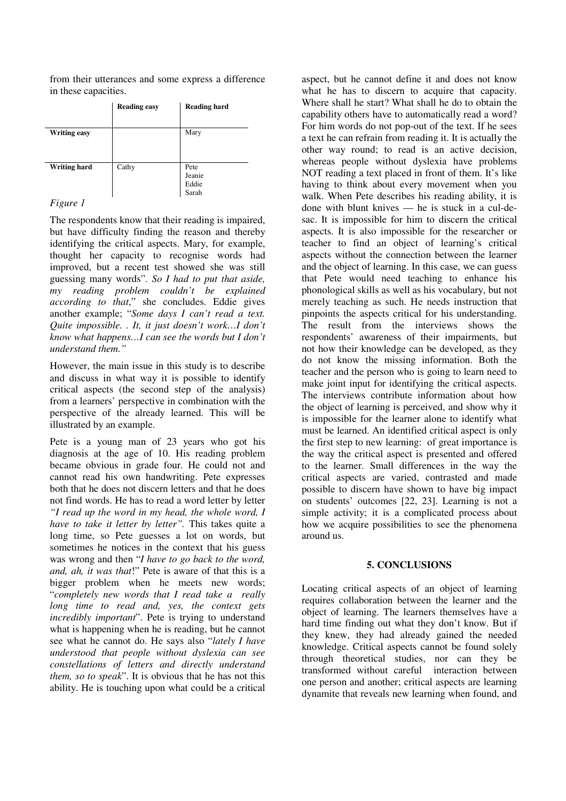from their utterances and some express a difference in these capacities.

|                     | <b>Reading easy</b> | <b>Reading hard</b>              |
|---------------------|---------------------|----------------------------------|
| <b>Writing easy</b> |                     | Mary                             |
| Writing hard        | Cathy               | Pete<br>Jeanie<br>Eddie<br>Sarah |

### *Figure 1*

The respondents know that their reading is impaired, but have difficulty finding the reason and thereby identifying the critical aspects. Mary, for example, thought her capacity to recognise words had improved, but a recent test showed she was still guessing many words"*. So I had to put that aside, my reading problem couldn't be explained according to that*," she concludes. Eddie gives another example; "*Some days I can't read a text. Quite impossible. . It, it just doesn't work…I don't know what happens…I can see the words but I don't understand them."*

However, the main issue in this study is to describe and discuss in what way it is possible to identify critical aspects (the second step of the analysis) from a learners' perspective in combination with the perspective of the already learned. This will be illustrated by an example.

Pete is a young man of 23 years who got his diagnosis at the age of 10. His reading problem became obvious in grade four. He could not and cannot read his own handwriting. Pete expresses both that he does not discern letters and that he does not find words. He has to read a word letter by letter *"I read up the word in my head, the whole word, I have to take it letter by letter".* This takes quite a long time, so Pete guesses a lot on words, but sometimes he notices in the context that his guess was wrong and then "*I have to go back to the word, and, ah, it was that*!" Pete is aware of that this is a bigger problem when he meets new words; "*completely new words that I read take a really long time to read and, yes, the context gets incredibly important*". Pete is trying to understand what is happening when he is reading, but he cannot see what he cannot do. He says also "*lately I have understood that people without dyslexia can see constellations of letters and directly understand them, so to speak*". It is obvious that he has not this ability. He is touching upon what could be a critical

aspect, but he cannot define it and does not know what he has to discern to acquire that capacity. Where shall he start? What shall he do to obtain the capability others have to automatically read a word? For him words do not pop-out of the text. If he sees a text he can refrain from reading it. It is actually the other way round; to read is an active decision, whereas people without dyslexia have problems NOT reading a text placed in front of them. It's like having to think about every movement when you walk. When Pete describes his reading ability, it is done with blunt knives — he is stuck in a cul-desac. It is impossible for him to discern the critical aspects. It is also impossible for the researcher or teacher to find an object of learning's critical aspects without the connection between the learner and the object of learning. In this case, we can guess that Pete would need teaching to enhance his phonological skills as well as his vocabulary, but not merely teaching as such. He needs instruction that pinpoints the aspects critical for his understanding. The result from the interviews shows the respondents' awareness of their impairments, but not how their knowledge can be developed, as they do not know the missing information. Both the teacher and the person who is going to learn need to make joint input for identifying the critical aspects. The interviews contribute information about how the object of learning is perceived, and show why it is impossible for the learner alone to identify what must be learned. An identified critical aspect is only the first step to new learning: of great importance is the way the critical aspect is presented and offered to the learner. Small differences in the way the critical aspects are varied, contrasted and made possible to discern have shown to have big impact on students' outcomes [22, 23]. Learning is not a simple activity; it is a complicated process about how we acquire possibilities to see the phenomena around us.

## **5. CONCLUSIONS**

Locating critical aspects of an object of learning requires collaboration between the learner and the object of learning. The learners themselves have a hard time finding out what they don't know. But if they knew, they had already gained the needed knowledge. Critical aspects cannot be found solely through theoretical studies, nor can they be transformed without careful interaction between one person and another; critical aspects are learning dynamite that reveals new learning when found, and